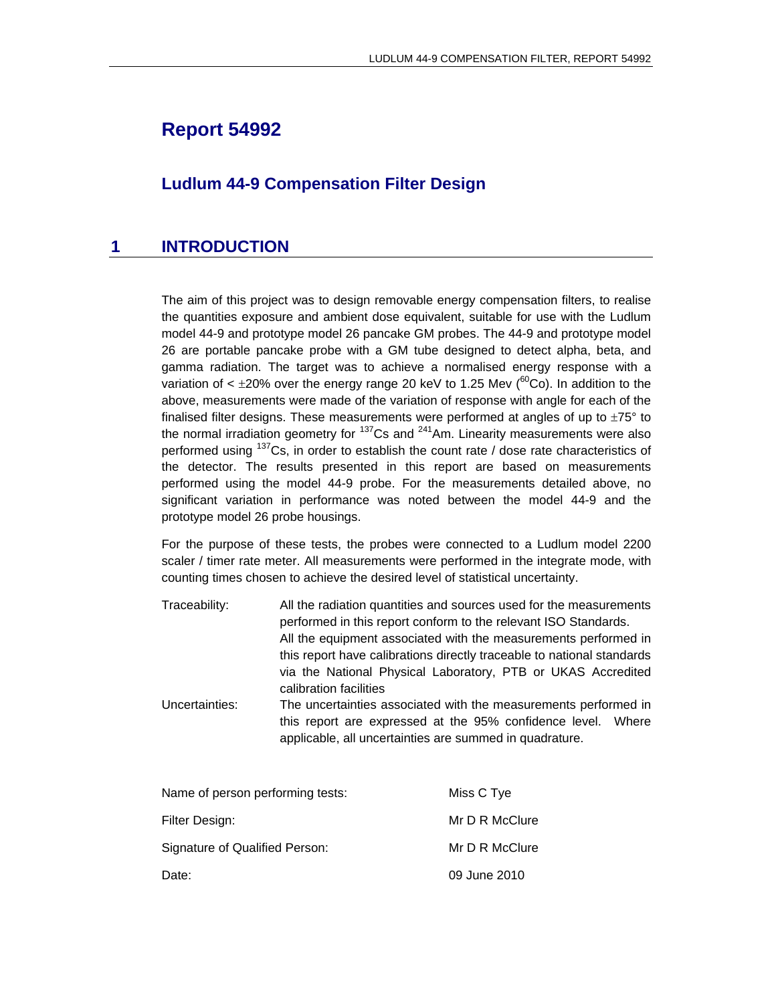# **Report 54992**

### **Ludlum 44-9 Compensation Filter Design**

### **1 INTRODUCTION**

The aim of this project was to design removable energy compensation filters, to realise the quantities exposure and ambient dose equivalent, suitable for use with the Ludlum model 44-9 and prototype model 26 pancake GM probes. The 44-9 and prototype model 26 are portable pancake probe with a GM tube designed to detect alpha, beta, and gamma radiation. The target was to achieve a normalised energy response with a variation of  $\lt$  ±20% over the energy range 20 keV to 1.25 Mev ( ${}^{60}$ Co). In addition to the above, measurements were made of the variation of response with angle for each of the finalised filter designs. These measurements were performed at angles of up to  $\pm 75^{\circ}$  to the normal irradiation geometry for  $137$ Cs and  $241$ Am. Linearity measurements were also performed using  $137Cs$ , in order to establish the count rate / dose rate characteristics of the detector. The results presented in this report are based on measurements performed using the model 44-9 probe. For the measurements detailed above, no significant variation in performance was noted between the model 44-9 and the prototype model 26 probe housings.

For the purpose of these tests, the probes were connected to a Ludlum model 2200 scaler / timer rate meter. All measurements were performed in the integrate mode, with counting times chosen to achieve the desired level of statistical uncertainty.

- Traceability: All the radiation quantities and sources used for the measurements performed in this report conform to the relevant ISO Standards. All the equipment associated with the measurements performed in this report have calibrations directly traceable to national standards via the National Physical Laboratory, PTB or UKAS Accredited calibration facilities
- Uncertainties: The uncertainties associated with the measurements performed in this report are expressed at the 95% confidence level. Where applicable, all uncertainties are summed in quadrature.

| Name of person performing tests: | Miss C Tye     |
|----------------------------------|----------------|
| Filter Design:                   | Mr D R McClure |
| Signature of Qualified Person:   | Mr D R McClure |
| Date:                            | 09 June 2010   |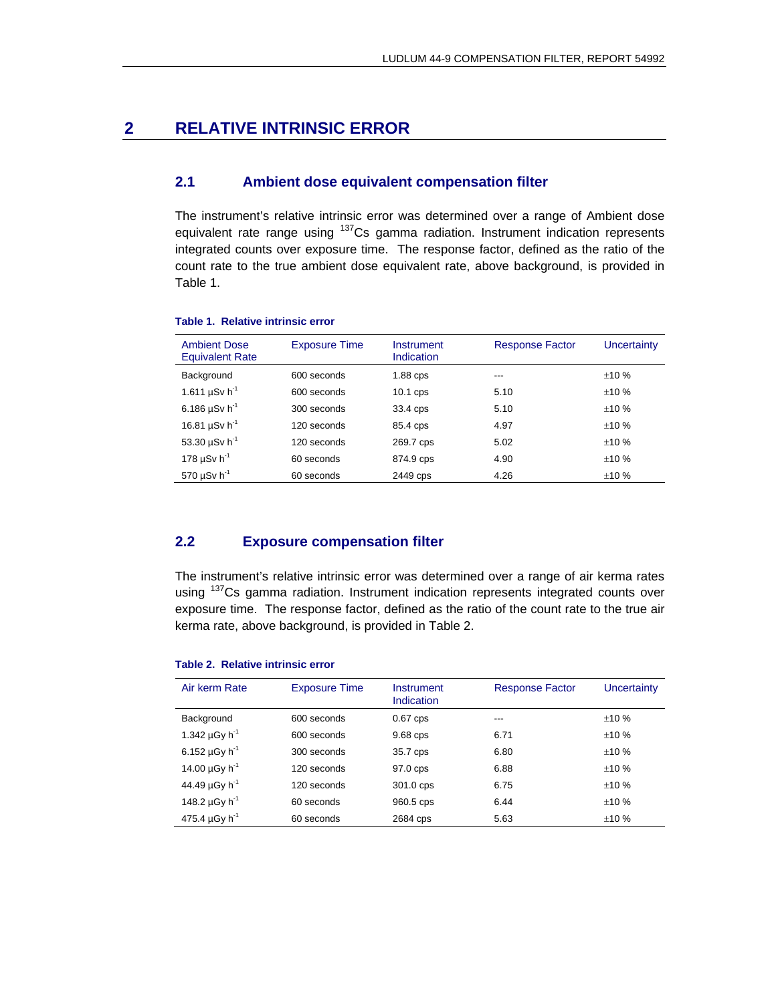### **2 RELATIVE INTRINSIC ERROR**

### **2.1 Ambient dose equivalent compensation filter**

The instrument's relative intrinsic error was determined over a range of Ambient dose equivalent rate range using  $137Cs$  gamma radiation. Instrument indication represents integrated counts over exposure time. The response factor, defined as the ratio of the count rate to the true ambient dose equivalent rate, above background, is provided in Table 1.

| <b>Ambient Dose</b><br><b>Equivalent Rate</b> | <b>Exposure Time</b> | Instrument<br>Indication | <b>Response Factor</b> | Uncertainty |
|-----------------------------------------------|----------------------|--------------------------|------------------------|-------------|
| Background                                    | 600 seconds          | 1.88 cps                 | ---                    | ±10%        |
| 1.611 $\mu$ Sv h <sup>-1</sup>                | 600 seconds          | 10.1 cps                 | 5.10                   | ±10%        |
| 6.186 $\mu$ Sv h <sup>-1</sup>                | 300 seconds          | 33.4 cps                 | 5.10                   | ±10%        |
| 16.81 $\mu$ Sv h <sup>-1</sup>                | 120 seconds          | 85.4 cps                 | 4.97                   | ±10%        |
| 53.30 $\mu$ Sv h <sup>-1</sup>                | 120 seconds          | 269.7 cps                | 5.02                   | ±10%        |
| 178 $\mu$ Sv h <sup>-1</sup>                  | 60 seconds           | 874.9 cps                | 4.90                   | ±10%        |
| 570 $\mu$ Sv h <sup>-1</sup>                  | 60 seconds           | 2449 cps                 | 4.26                   | ±10%        |

#### **Table 1. Relative intrinsic error**

### **2.2 Exposure compensation filter**

The instrument's relative intrinsic error was determined over a range of air kerma rates using <sup>137</sup>Cs gamma radiation. Instrument indication represents integrated counts over exposure time. The response factor, defined as the ratio of the count rate to the true air kerma rate, above background, is provided in Table 2.

#### Air kerm Rate Exposure Time Instrument Indication Response Factor Uncertainty Background 1.342  $\mu$ Gy h<sup>-1</sup> 6.152  $\mu$ Gy h<sup>-1</sup> 14.00  $\mu$ Gy h<sup>-1</sup> 44.49 µGy h-1 148.2  $\mu$ Gy h<sup>-1</sup> 475.4  $\mu$ Gy h<sup>-1</sup> 600 seconds 600 seconds 300 seconds 120 seconds 120 seconds 60 seconds 60 seconds 0.67 cps 9.68 cps 35.7 cps 97.0 cps 301.0 cps 960.5 cps 2684 cps --- 6.71 6.80 6.88 6.75 6.44 5.63  $\pm 10$  %  $±10%$  $±10%$  $±10%$  $\pm 10$  %  $\pm 10$  %  $±10%$

#### **Table 2. Relative intrinsic error**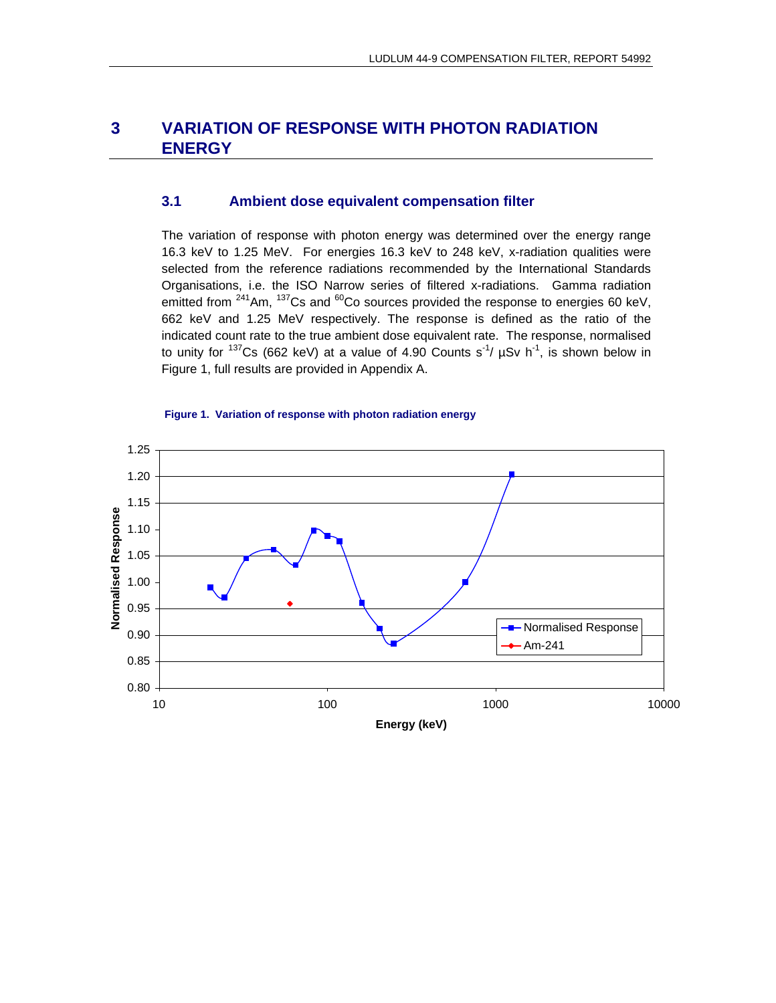## **3 VARIATION OF RESPONSE WITH PHOTON RADIATION ENERGY**

### **3.1 Ambient dose equivalent compensation filter**

The variation of response with photon energy was determined over the energy range 16.3 keV to 1.25 MeV. For energies 16.3 keV to 248 keV, x-radiation qualities were selected from the reference radiations recommended by the International Standards Organisations, i.e. the ISO Narrow series of filtered x-radiations. Gamma radiation emitted from  $241$ Am,  $137$ Cs and  $60$ Co sources provided the response to energies 60 keV, 662 keV and 1.25 MeV respectively. The response is defined as the ratio of the indicated count rate to the true ambient dose equivalent rate. The response, normalised to unity for  $137Cs$  (662 keV) at a value of 4.90 Counts s<sup>-1</sup>/  $\mu Sv$  h<sup>-1</sup>, is shown below in Figure 1, full results are provided in Appendix A.



#### **Figure 1. Variation of response with photon radiation energy**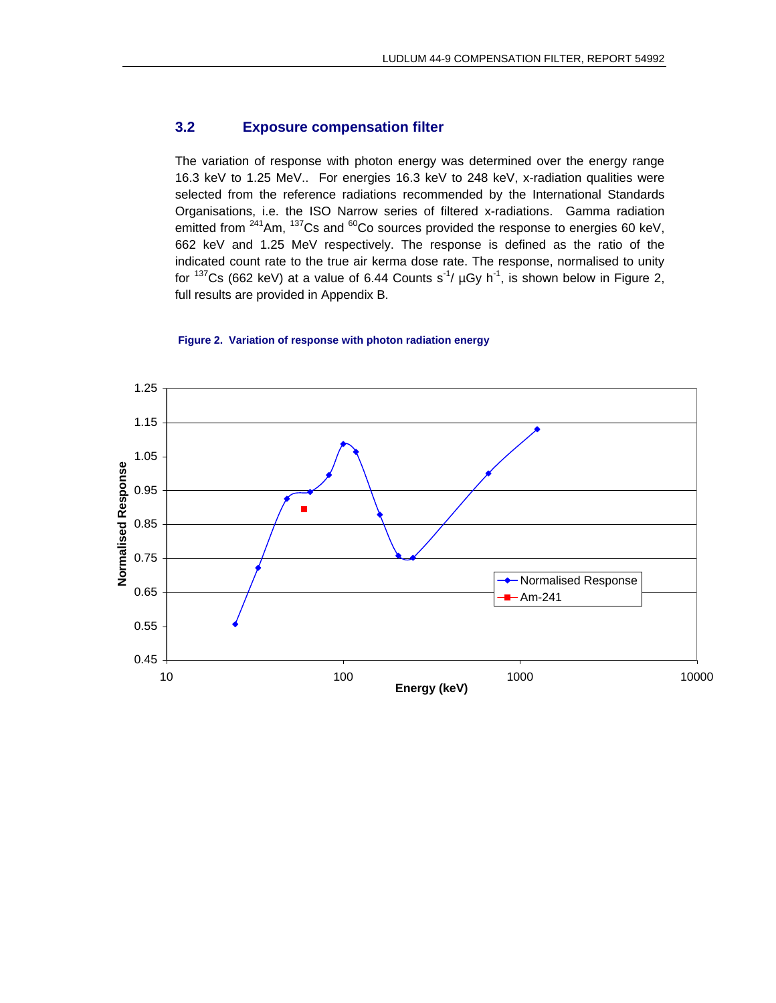### **3.2 Exposure compensation filter**

The variation of response with photon energy was determined over the energy range 16.3 keV to 1.25 MeV.. For energies 16.3 keV to 248 keV, x-radiation qualities were selected from the reference radiations recommended by the International Standards Organisations, i.e. the ISO Narrow series of filtered x-radiations. Gamma radiation emitted from <sup>241</sup>Am, <sup>137</sup>Cs and <sup>60</sup>Co sources provided the response to energies 60 keV, 662 keV and 1.25 MeV respectively. The response is defined as the ratio of the indicated count rate to the true air kerma dose rate. The response, normalised to unity for  $137Cs$  (662 keV) at a value of 6.44 Counts s<sup>-1</sup>/  $\mu Gy$  h<sup>-1</sup>, is shown below in Figure 2, full results are provided in Appendix B.

#### **Figure 2. Variation of response with photon radiation energy**

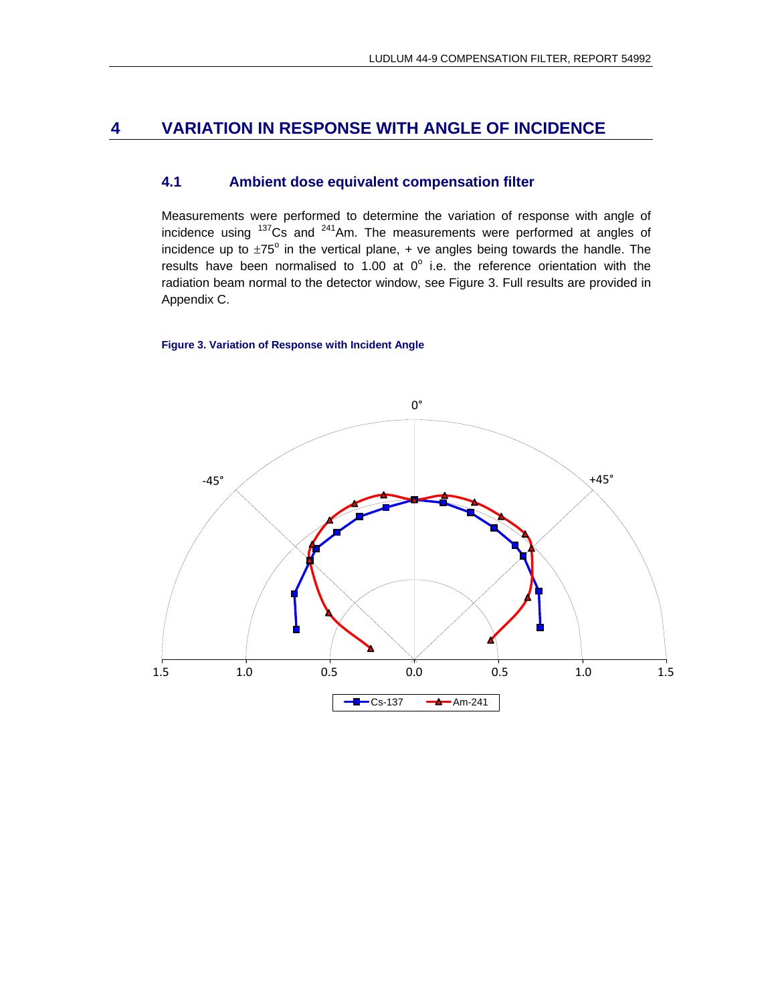### **4 VARIATION IN RESPONSE WITH ANGLE OF INCIDENCE**

### **4.1 Ambient dose equivalent compensation filter**

Measurements were performed to determine the variation of response with angle of incidence using 137Cs and 241Am. The measurements were performed at angles of incidence up to  $\pm 75^{\circ}$  in the vertical plane,  $+$  ve angles being towards the handle. The results have been normalised to 1.00 at  $0^{\circ}$  i.e. the reference orientation with the radiation beam normal to the detector window, see Figure 3. Full results are provided in Appendix C.

#### **Figure 3. Variation of Response with Incident Angle**

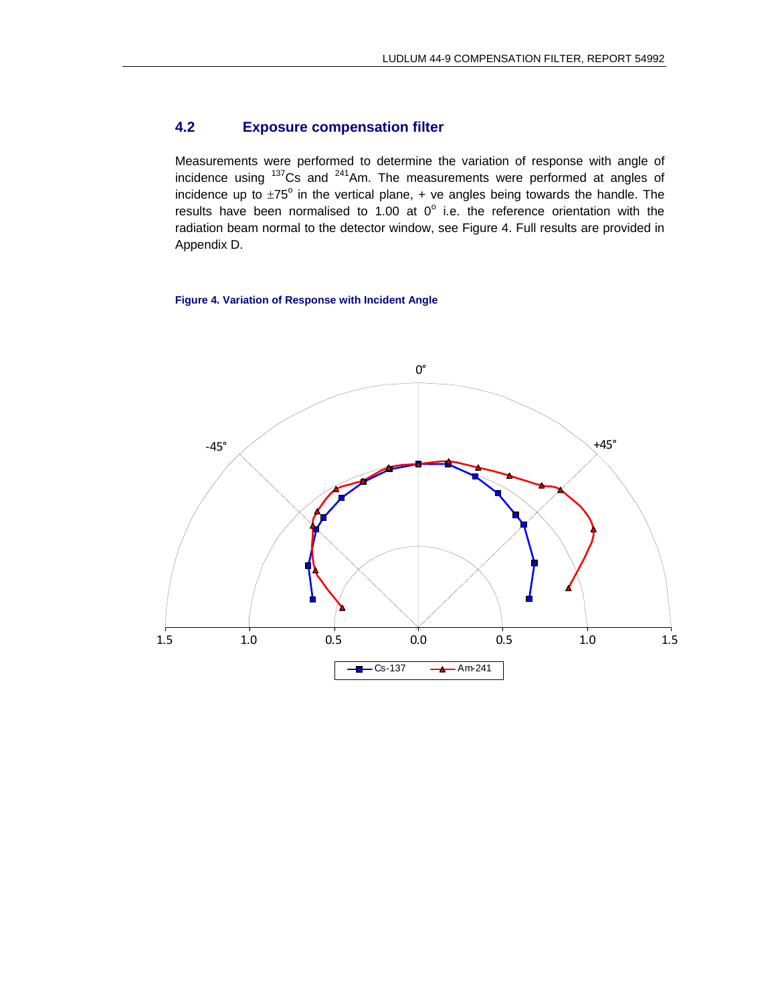### **4.2 Exposure compensation filter**

Measurements were performed to determine the variation of response with angle of incidence using  $137Cs$  and  $241Am$ . The measurements were performed at angles of incidence up to  $\pm 75^{\circ}$  in the vertical plane,  $+$  ve angles being towards the handle. The results have been normalised to 1.00 at  $0^{\circ}$  i.e. the reference orientation with the radiation beam normal to the detector window, see Figure 4. Full results are provided in Appendix D.

#### **Figure 4. Variation of Response with Incident Angle**

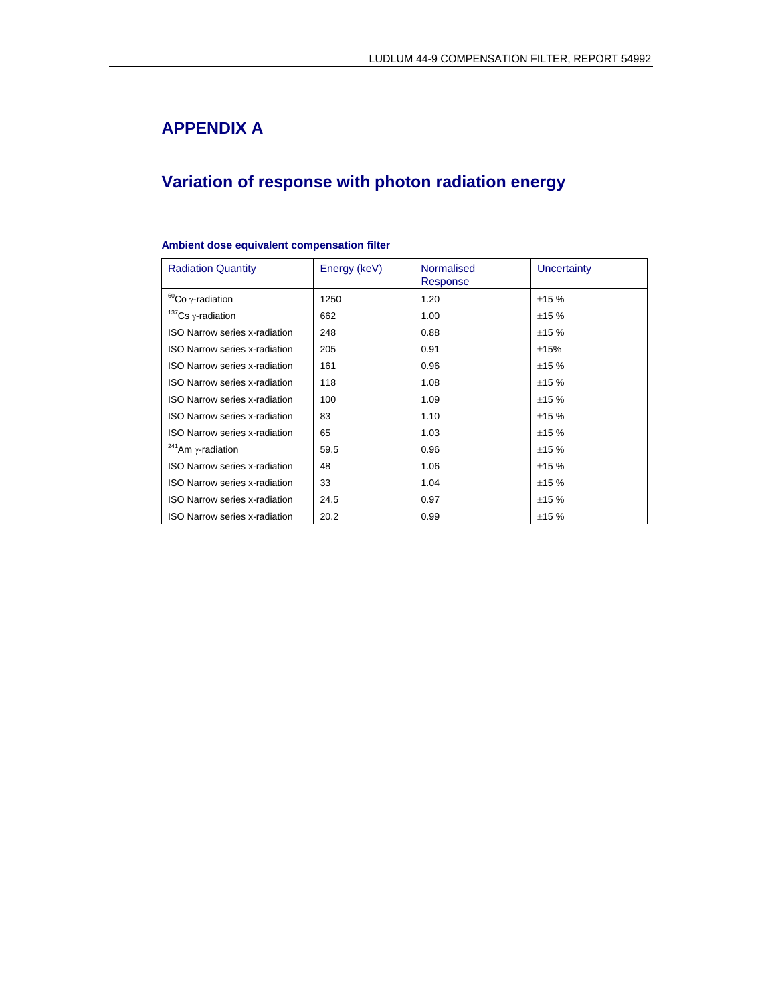# **APPENDIX A**

# **Variation of response with photon radiation energy**

#### **Ambient dose equivalent compensation filter**

| <b>Radiation Quantity</b>             | Energy (keV) | <b>Normalised</b><br>Response | Uncertainty |
|---------------------------------------|--------------|-------------------------------|-------------|
| ${}^{60}Co$ $\gamma$ -radiation       | 1250         | 1.20                          | ±15%        |
| $137$ Cs y-radiation                  | 662          | 1.00                          | ±15%        |
| <b>ISO Narrow series x-radiation</b>  | 248          | 0.88                          | ±15%        |
| <b>ISO Narrow series x-radiation</b>  | 205          | 0.91                          | ±15%        |
| <b>ISO Narrow series x-radiation</b>  | 161          | 0.96                          | ±15%        |
| <b>ISO Narrow series x-radiation</b>  | 118          | 1.08                          | ±15%        |
| <b>ISO Narrow series x-radiation</b>  | 100          | 1.09                          | ±15%        |
| <b>ISO Narrow series x-radiation</b>  | 83           | 1.10                          | ±15%        |
| <b>ISO Narrow series x-radiation</b>  | 65           | 1.03                          | ±15%        |
| <sup>241</sup> Am $\gamma$ -radiation | 59.5         | 0.96                          | ±15%        |
| <b>ISO Narrow series x-radiation</b>  | 48           | 1.06                          | ±15%        |
| <b>ISO Narrow series x-radiation</b>  | 33           | 1.04                          | ±15%        |
| <b>ISO Narrow series x-radiation</b>  | 24.5         | 0.97                          | ±15%        |
| <b>ISO Narrow series x-radiation</b>  | 20.2         | 0.99                          | ±15%        |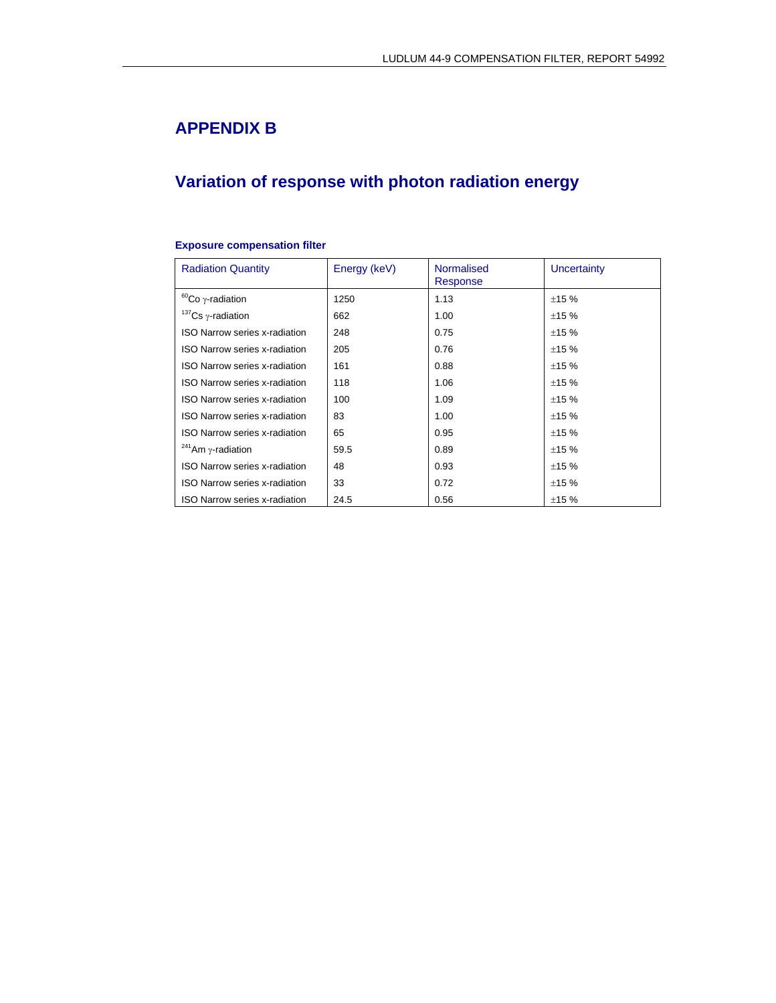# **APPENDIX B**

# **Variation of response with photon radiation energy**

| <b>Radiation Quantity</b>             | Energy (keV) | <b>Normalised</b><br>Response | Uncertainty |
|---------------------------------------|--------------|-------------------------------|-------------|
| ${}^{60}Co$ $\gamma$ -radiation       | 1250         | 1.13                          | ±15%        |
| $137$ Cs $\gamma$ -radiation          | 662          | 1.00                          | ±15%        |
| <b>ISO Narrow series x-radiation</b>  | 248          | 0.75                          | ±15%        |
| <b>ISO Narrow series x-radiation</b>  | 205          | 0.76                          | ±15%        |
| <b>ISO Narrow series x-radiation</b>  | 161          | 0.88                          | ±15%        |
| <b>ISO Narrow series x-radiation</b>  | 118          | 1.06                          | ±15%        |
| <b>ISO Narrow series x-radiation</b>  | 100          | 1.09                          | ±15%        |
| <b>ISO Narrow series x-radiation</b>  | 83           | 1.00                          | ±15%        |
| <b>ISO Narrow series x-radiation</b>  | 65           | 0.95                          | ±15%        |
| <sup>241</sup> Am $\gamma$ -radiation | 59.5         | 0.89                          | ±15%        |
| <b>ISO Narrow series x-radiation</b>  | 48           | 0.93                          | ±15%        |
| <b>ISO Narrow series x-radiation</b>  | 33           | 0.72                          | ±15%        |
| <b>ISO Narrow series x-radiation</b>  | 24.5         | 0.56                          | ±15%        |

#### **Exposure compensation filter**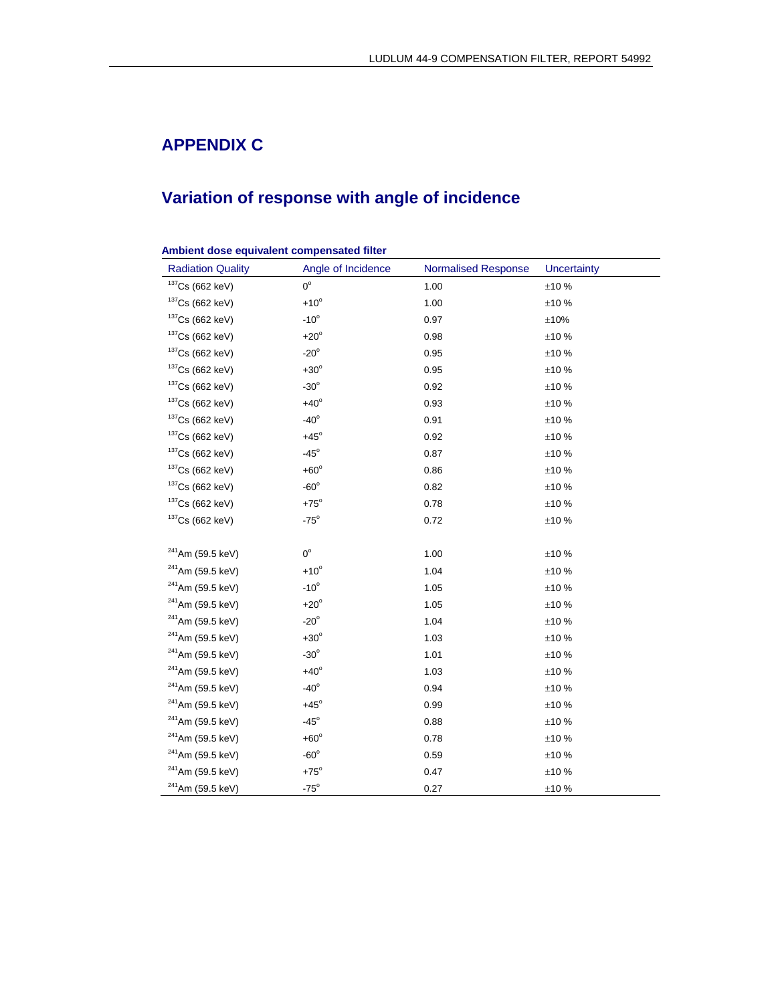# **APPENDIX C**

# **Variation of response with angle of incidence**

#### **Ambient dose equivalent compensated filter**

| <b>Radiation Quality</b>     | Angle of Incidence | <b>Normalised Response</b> | <b>Uncertainty</b> |
|------------------------------|--------------------|----------------------------|--------------------|
| $137$ Cs (662 keV)           | $0^{\circ}$        | 1.00                       | ±10%               |
| $137$ Cs (662 keV)           | $+10^{\circ}$      | 1.00                       | ±10 %              |
| $137$ Cs (662 keV)           | $-10^{\circ}$      | 0.97                       | ±10%               |
| $137$ Cs (662 keV)           | $+20^\circ$        | 0.98                       | ±10 %              |
| $137$ Cs (662 keV)           | $-20^\circ$        | 0.95                       | ±10 %              |
| $137$ Cs (662 keV)           | $+30^\circ$        | 0.95                       | ±10%               |
| $137$ Cs (662 keV)           | $-30^\circ$        | 0.92                       | ±10%               |
| $137$ Cs (662 keV)           | $+40^\circ$        | 0.93                       | ±10%               |
| $137$ Cs (662 keV)           | $-40^\circ$        | 0.91                       | ±10%               |
| $137$ Cs (662 keV)           | $+45^\circ$        | 0.92                       | ±10%               |
| $137$ Cs (662 keV)           | $-45^\circ$        | 0.87                       | ±10%               |
| $137$ Cs (662 keV)           | $+60^\circ$        | 0.86                       | ±10%               |
| $137$ Cs (662 keV)           | $-60^\circ$        | 0.82                       | ±10%               |
| $137$ Cs (662 keV)           | $+75^\circ$        | 0.78                       | ±10%               |
| $137$ Cs (662 keV)           | $-75^\circ$        | 0.72                       | ±10%               |
|                              |                    |                            |                    |
| $241$ Am (59.5 keV)          | $0^{\circ}$        | 1.00                       | ±10%               |
| <sup>241</sup> Am (59.5 keV) | $+10^{\circ}$      | 1.04                       | ±10 %              |
| <sup>241</sup> Am (59.5 keV) | $-10^{\circ}$      | 1.05                       | ±10%               |
| <sup>241</sup> Am (59.5 keV) | $+20^\circ$        | 1.05                       | ±10%               |
| <sup>241</sup> Am (59.5 keV) | $-20^\circ$        | 1.04                       | ±10%               |
| <sup>241</sup> Am (59.5 keV) | $+30^\circ$        | 1.03                       | ±10%               |
| $241$ Am (59.5 keV)          | $-30^\circ$        | 1.01                       | ±10 %              |
| <sup>241</sup> Am (59.5 keV) | $+40^\circ$        | 1.03                       | ±10 %              |
| <sup>241</sup> Am (59.5 keV) | $-40^\circ$        | 0.94                       | ±10%               |
| <sup>241</sup> Am (59.5 keV) | $+45^\circ$        | 0.99                       | ±10%               |
| $241$ Am (59.5 keV)          | $-45^\circ$        | 0.88                       | ±10%               |
| <sup>241</sup> Am (59.5 keV) | $+60^\circ$        | 0.78                       | ±10%               |
| $241$ Am (59.5 keV)          | $-60^\circ$        | 0.59                       | ±10%               |
| <sup>241</sup> Am (59.5 keV) | $+75^\circ$        | 0.47                       | ±10%               |
| <sup>241</sup> Am (59.5 keV) | $-75^\circ$        | 0.27                       | $\pm 10$ %         |